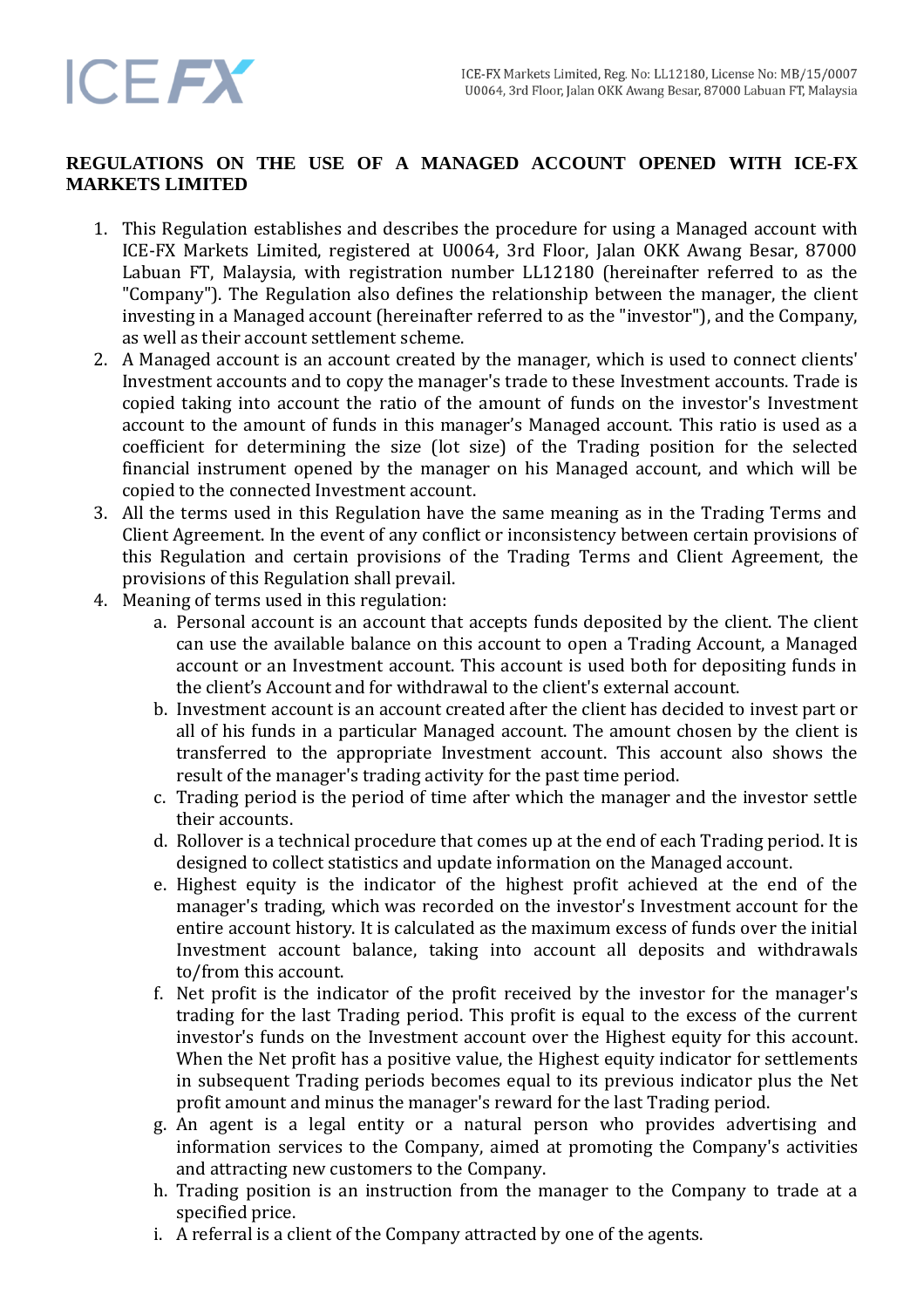# **REGULATIONS ON THE USE OF A MANAGED ACCOUNT OPENED WITH ICE-FX MARKETS LIMITED**

- 1. This Regulation establishes and describes the procedure for using a Managed account with ICE-FX Markets Limited, registered at U0064, 3rd Floor, Jalan OKK Awang Besar, 87000 Labuan FT, Malaysia, with registration number LL12180 (hereinafter referred to as the "Company"). The Regulation also defines the relationship between the manager, the client investing in a Managed account (hereinafter referred to as the "investor"), and the Company, as well as their account settlement scheme.
- 2. A Managed account is an account created by the manager, which is used to connect clients' Investment accounts and to copy the manager's trade to these Investment accounts. Trade is copied taking into account the ratio of the amount of funds on the investor's Investment account to the amount of funds in this manager's Managed account. This ratio is used as a coefficient for determining the size (lot size) of the Trading position for the selected financial instrument opened by the manager on his Managed account, and which will be copied to the connected Investment account.
- 3. All the terms used in this Regulation have the same meaning as in the Trading Terms and Client Agreement. In the event of any conflict or inconsistency between certain provisions of this Regulation and certain provisions of the Trading Terms and Client Agreement, the provisions of this Regulation shall prevail.
- 4. Meaning of terms used in this regulation:
	- a. Personal account is an account that accepts funds deposited by the client. The client can use the available balance on this account to open a Trading Account, a Managed account or an Investment account. This account is used both for depositing funds in the client's Account and for withdrawal to the client's external account.
	- b. Investment account is an account created after the client has decided to invest part or all of his funds in a particular Managed account. The amount chosen by the client is transferred to the appropriate Investment account. This account also shows the result of the manager's trading activity for the past time period.
	- c. Trading period is the period of time after which the manager and the investor settle their accounts.
	- d. Rollover is a technical procedure that comes up at the end of each Trading period. It is designed to collect statistics and update information on the Managed account.
	- e. Highest equity is the indicator of the highest profit achieved at the end of the manager's trading, which was recorded on the investor's Investment account for the entire account history. It is calculated as the maximum excess of funds over the initial Investment account balance, taking into account all deposits and withdrawals to/from this account.
	- f. Net profit is the indicator of the profit received by the investor for the manager's trading for the last Trading period. This profit is equal to the excess of the current investor's funds on the Investment account over the Highest equity for this account. When the Net profit has a positive value, the Highest equity indicator for settlements in subsequent Trading periods becomes equal to its previous indicator plus the Net profit amount and minus the manager's reward for the last Trading period.
	- g. An agent is a legal entity or a natural person who provides advertising and information services to the Company, aimed at promoting the Company's activities and attracting new customers to the Company.
	- h. Trading position is an instruction from the manager to the Company to trade at a specified price.
	- i. A referral is a client of the Company attracted by one of the agents.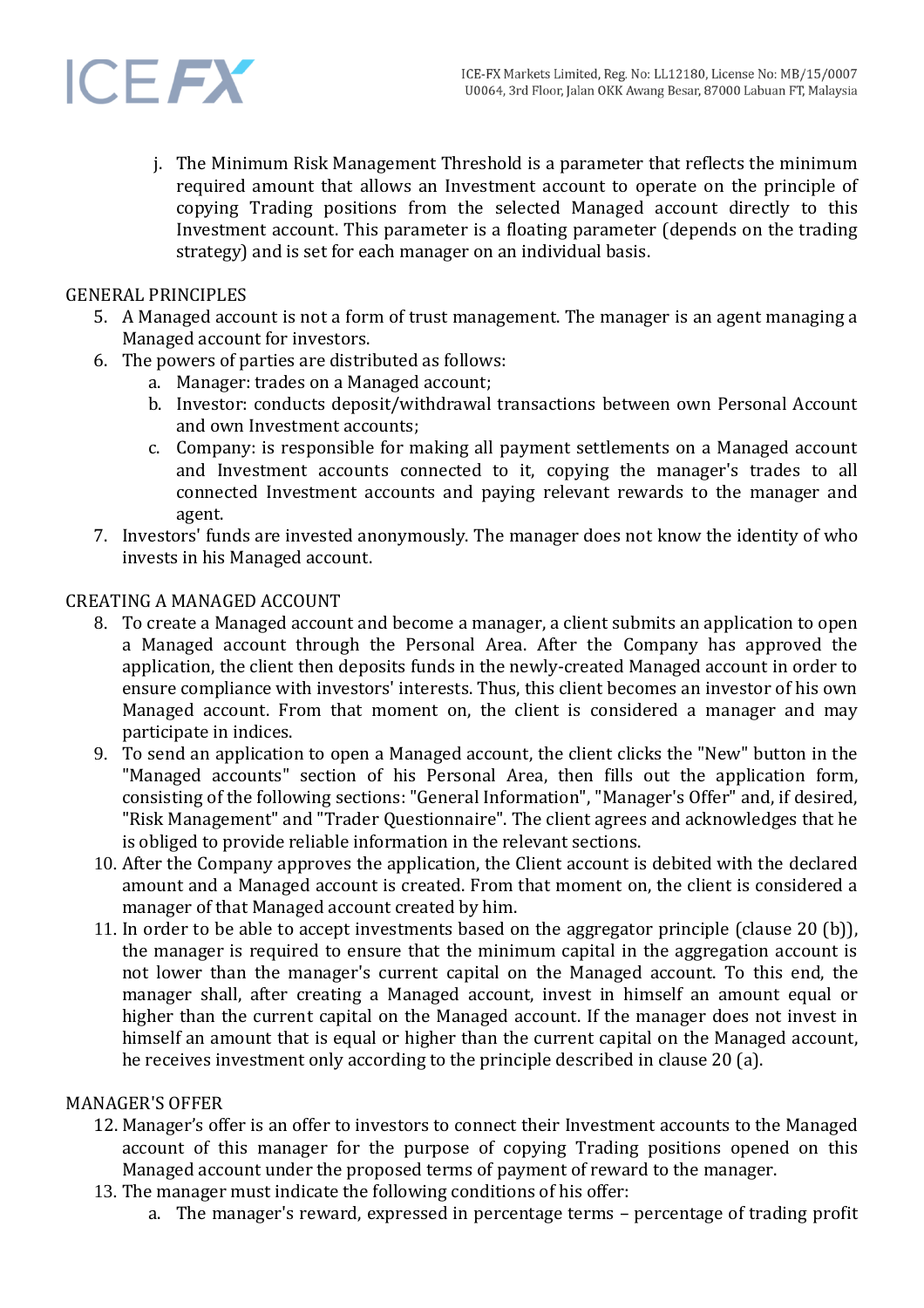

j. The Minimum Risk Management Threshold is a parameter that reflects the minimum required amount that allows an Investment account to operate on the principle of copying Trading positions from the selected Managed account directly to this Investment account. This parameter is a floating parameter (depends on the trading strategy) and is set for each manager on an individual basis.

#### GENERAL PRINCIPLES

- 5. A Managed account is not a form of trust management. The manager is an agent managing a Managed account for investors.
- 6. The powers of parties are distributed as follows:
	- a. Manager: trades on a Managed account;
	- b. Investor: conducts deposit/withdrawal transactions between own Personal Account and own Investment accounts;
	- c. Company: is responsible for making all payment settlements on a Managed account and Investment accounts connected to it, copying the manager's trades to all connected Investment accounts and paying relevant rewards to the manager and agent.
- 7. Investors' funds are invested anonymously. The manager does not know the identity of who invests in his Managed account.

## CREATING A MANAGED ACCOUNT

- 8. To create a Managed account and become a manager, a client submits an application to open a Managed account through the Personal Area. After the Company has approved the application, the client then deposits funds in the newly-created Managed account in order to ensure compliance with investors' interests. Thus, this client becomes an investor of his own Managed account. From that moment on, the client is considered a manager and may participate in indices.
- 9. To send an application to open a Managed account, the client clicks the "New" button in the "Managed accounts" section of his Personal Area, then fills out the application form, consisting of the following sections: "General Information", "Manager's Offer" and, if desired, "Risk Management" and "Trader Questionnaire". The client agrees and acknowledges that he is obliged to provide reliable information in the relevant sections.
- 10. After the Company approves the application, the Client account is debited with the declared amount and a Managed account is created. From that moment on, the client is considered a manager of that Managed account created by him.
- 11. In order to be able to accept investments based on the aggregator principle (clause 20 (b)), the manager is required to ensure that the minimum capital in the aggregation account is not lower than the manager's current capital on the Managed account. To this end, the manager shall, after creating a Managed account, invest in himself an amount equal or higher than the current capital on the Managed account. If the manager does not invest in himself an amount that is equal or higher than the current capital on the Managed account, he receives investment only according to the principle described in clause 20 (a).

## MANAGER'S OFFER

- 12. Manager's offer is an offer to investors to connect their Investment accounts to the Managed account of this manager for the purpose of copying Trading positions opened on this Managed account under the proposed terms of payment of reward to the manager.
- 13. The manager must indicate the following conditions of his offer:
	- a. The manager's reward, expressed in percentage terms percentage of trading profit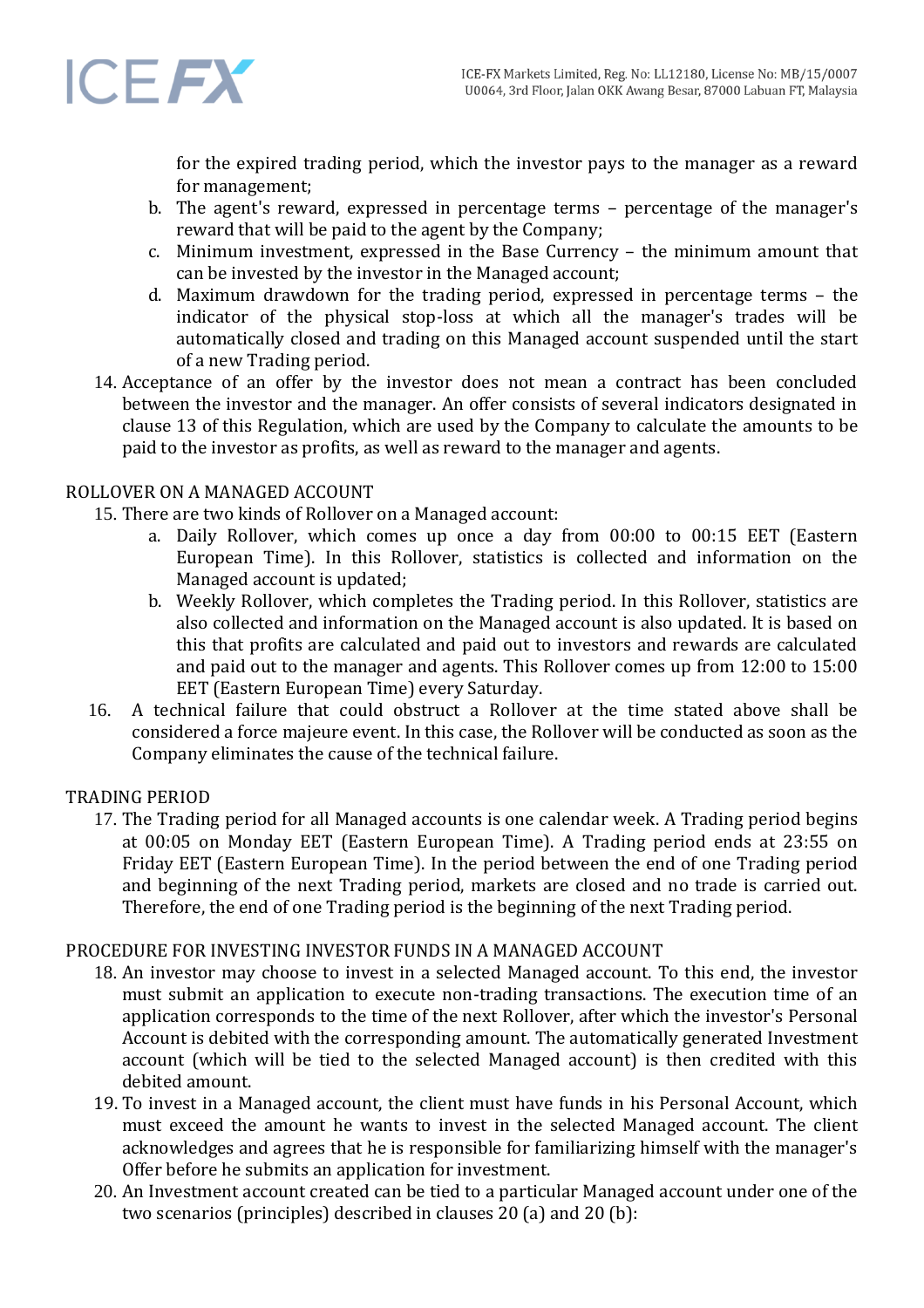

for the expired trading period, which the investor pays to the manager as a reward for management;

- b. The agent's reward, expressed in percentage terms percentage of the manager's reward that will be paid to the agent by the Company;
- c. Minimum investment, expressed in the Base Currency the minimum amount that can be invested by the investor in the Managed account;
- d. Maximum drawdown for the trading period, expressed in percentage terms the indicator of the physical stop-loss at which all the manager's trades will be automatically closed and trading on this Managed account suspended until the start of a new Trading period.
- 14. Acceptance of an offer by the investor does not mean a contract has been concluded between the investor and the manager. An offer consists of several indicators designated in clause 13 of this Regulation, which are used by the Company to calculate the amounts to be paid to the investor as profits, as well as reward to the manager and agents.

# ROLLOVER ON A MANAGED ACCOUNT

15. There are two kinds of Rollover on a Managed account:

- a. Daily Rollover, which comes up once a day from 00:00 to 00:15 EET (Eastern European Time). In this Rollover, statistics is collected and information on the Managed account is updated;
- b. Weekly Rollover, which completes the Trading period. In this Rollover, statistics are also collected and information on the Managed account is also updated. It is based on this that profits are calculated and paid out to investors and rewards are calculated and paid out to the manager and agents. This Rollover comes up from 12:00 to 15:00 EET (Eastern European Time) every Saturday.
- 16. A technical failure that could obstruct a Rollover at the time stated above shall be considered a force majeure event. In this case, the Rollover will be conducted as soon as the Company eliminates the cause of the technical failure.

## TRADING PERIOD

17. The Trading period for all Managed accounts is one calendar week. A Trading period begins at 00:05 on Monday EET (Eastern European Time). A Trading period ends at 23:55 on Friday EET (Eastern European Time). In the period between the end of one Trading period and beginning of the next Trading period, markets are closed and no trade is carried out. Therefore, the end of one Trading period is the beginning of the next Trading period.

## PROCEDURE FOR INVESTING INVESTOR FUNDS IN A MANAGED ACCOUNT

- 18. An investor may choose to invest in a selected Managed account. To this end, the investor must submit an application to execute non-trading transactions. The execution time of an application corresponds to the time of the next Rollover, after which the investor's Personal Account is debited with the corresponding amount. The automatically generated Investment account (which will be tied to the selected Managed account) is then credited with this debited amount.
- 19. To invest in a Managed account, the client must have funds in his Personal Account, which must exceed the amount he wants to invest in the selected Managed account. The client acknowledges and agrees that he is responsible for familiarizing himself with the manager's Offer before he submits an application for investment.
- 20. An Investment account created can be tied to a particular Managed account under one of the two scenarios (principles) described in clauses 20 (a) and 20 (b):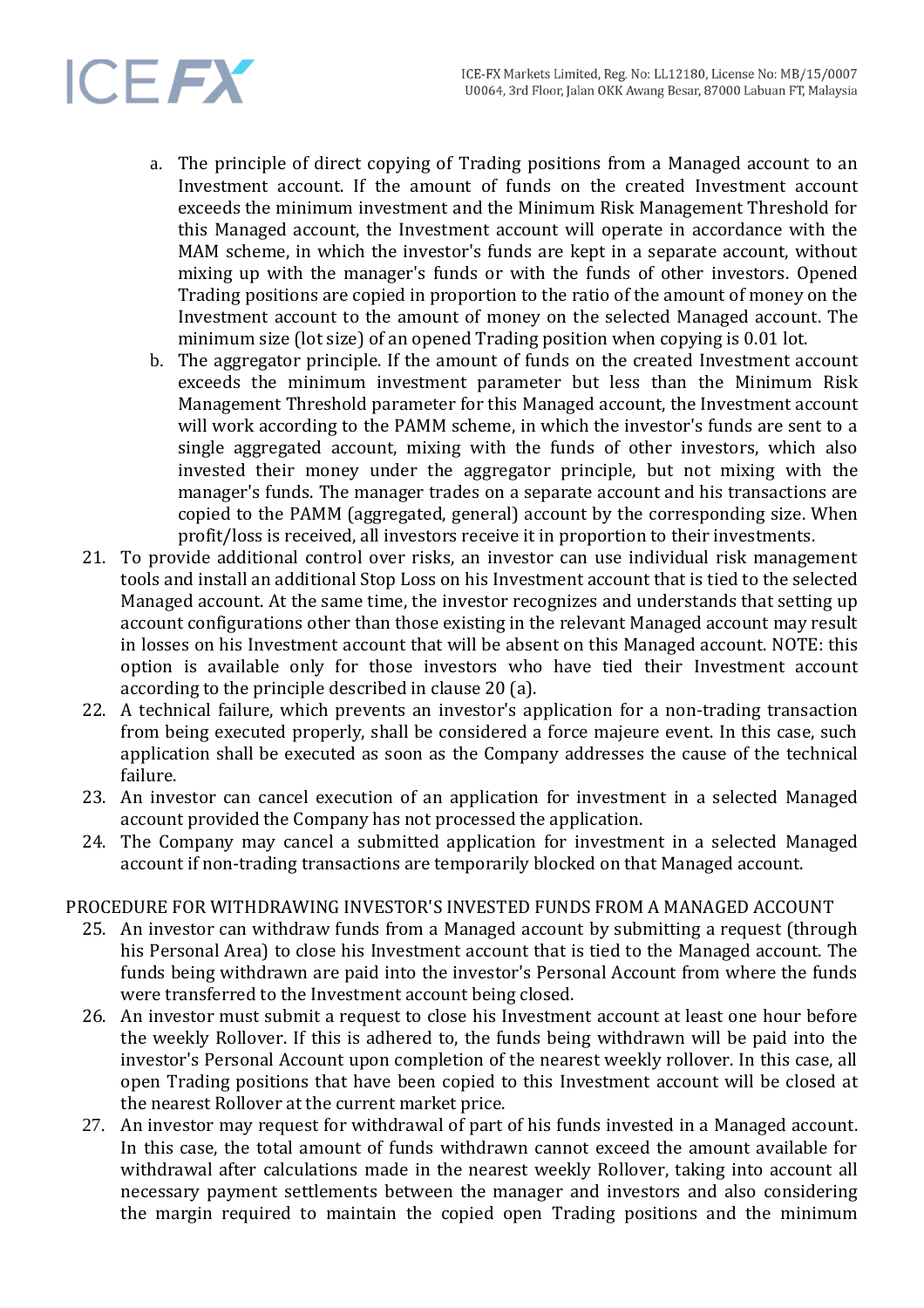# **ICEFX**

- a. The principle of direct copying of Trading positions from a Managed account to an Investment account. If the amount of funds on the created Investment account exceeds the minimum investment and the Minimum Risk Management Threshold for this Managed account, the Investment account will operate in accordance with the MAM scheme, in which the investor's funds are kept in a separate account, without mixing up with the manager's funds or with the funds of other investors. Opened Trading positions are copied in proportion to the ratio of the amount of money on the Investment account to the amount of money on the selected Managed account. The minimum size (lot size) of an opened Trading position when copying is 0.01 lot.
- b. The aggregator principle. If the amount of funds on the created Investment account exceeds the minimum investment parameter but less than the Minimum Risk Management Threshold parameter for this Managed account, the Investment account will work according to the PAMM scheme, in which the investor's funds are sent to a single aggregated account, mixing with the funds of other investors, which also invested their money under the aggregator principle, but not mixing with the manager's funds. The manager trades on a separate account and his transactions are copied to the PAMM (aggregated, general) account by the corresponding size. When profit/loss is received, all investors receive it in proportion to their investments.
- 21. To provide additional control over risks, an investor can use individual risk management tools and install an additional Stop Loss on his Investment account that is tied to the selected Managed account. At the same time, the investor recognizes and understands that setting up account configurations other than those existing in the relevant Managed account may result in losses on his Investment account that will be absent on this Managed account. NOTE: this option is available only for those investors who have tied their Investment account according to the principle described in clause 20 (a).
- 22. A technical failure, which prevents an investor's application for a non-trading transaction from being executed properly, shall be considered a force majeure event. In this case, such application shall be executed as soon as the Company addresses the cause of the technical failure.
- 23. An investor can cancel execution of an application for investment in a selected Managed account provided the Company has not processed the application.
- 24. The Company may cancel a submitted application for investment in a selected Managed account if non-trading transactions are temporarily blocked on that Managed account.

# PROCEDURE FOR WITHDRAWING INVESTOR'S INVESTED FUNDS FROM A MANAGED ACCOUNT

- 25. An investor can withdraw funds from a Managed account by submitting a request (through his Personal Area) to close his Investment account that is tied to the Managed account. The funds being withdrawn are paid into the investor's Personal Account from where the funds were transferred to the Investment account being closed.
- 26. An investor must submit a request to close his Investment account at least one hour before the weekly Rollover. If this is adhered to, the funds being withdrawn will be paid into the investor's Personal Account upon completion of the nearest weekly rollover. In this case, all open Trading positions that have been copied to this Investment account will be closed at the nearest Rollover at the current market price.
- 27. An investor may request for withdrawal of part of his funds invested in a Managed account. In this case, the total amount of funds withdrawn cannot exceed the amount available for withdrawal after calculations made in the nearest weekly Rollover, taking into account all necessary payment settlements between the manager and investors and also considering the margin required to maintain the copied open Trading positions and the minimum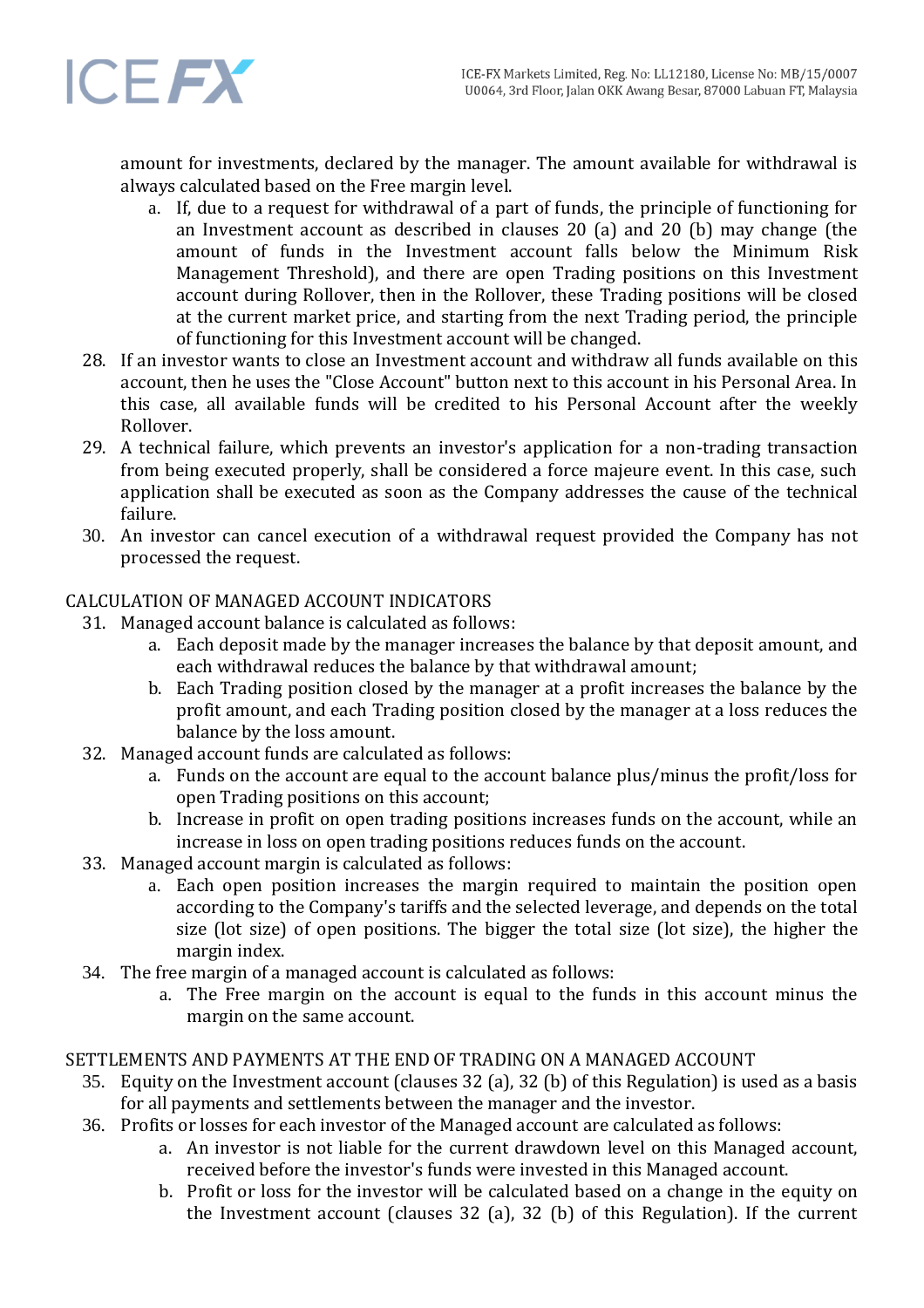

amount for investments, declared by the manager. The amount available for withdrawal is always calculated based on the Free margin level.

- a. If, due to a request for withdrawal of a part of funds, the principle of functioning for an Investment account as described in clauses 20 (a) and 20 (b) may change (the amount of funds in the Investment account falls below the Minimum Risk Management Threshold), and there are open Trading positions on this Investment account during Rollover, then in the Rollover, these Trading positions will be closed at the current market price, and starting from the next Trading period, the principle of functioning for this Investment account will be changed.
- 28. If an investor wants to close an Investment account and withdraw all funds available on this account, then he uses the "Close Account" button next to this account in his Personal Area. In this case, all available funds will be credited to his Personal Account after the weekly Rollover.
- 29. A technical failure, which prevents an investor's application for a non-trading transaction from being executed properly, shall be considered a force majeure event. In this case, such application shall be executed as soon as the Company addresses the cause of the technical failure.
- 30. An investor can cancel execution of a withdrawal request provided the Company has not processed the request.

# CALCULATION OF MANAGED ACCOUNT INDICATORS

- 31. Managed account balance is calculated as follows:
	- a. Each deposit made by the manager increases the balance by that deposit amount, and each withdrawal reduces the balance by that withdrawal amount;
	- b. Each Trading position closed by the manager at a profit increases the balance by the profit amount, and each Trading position closed by the manager at a loss reduces the balance by the loss amount.
- 32. Managed account funds are calculated as follows:
	- a. Funds on the account are equal to the account balance plus/minus the profit/loss for open Trading positions on this account;
	- b. Increase in profit on open trading positions increases funds on the account, while an increase in loss on open trading positions reduces funds on the account.
- 33. Managed account margin is calculated as follows:
	- a. Each open position increases the margin required to maintain the position open according to the Company's tariffs and the selected leverage, and depends on the total size (lot size) of open positions. The bigger the total size (lot size), the higher the margin index.
- 34. The free margin of a managed account is calculated as follows:
	- a. The Free margin on the account is equal to the funds in this account minus the margin on the same account.

## SETTLEMENTS AND PAYMENTS AT THE END OF TRADING ON A MANAGED ACCOUNT

- 35. Equity on the Investment account (clauses 32 (a), 32 (b) of this Regulation) is used as a basis for all payments and settlements between the manager and the investor.
- 36. Profits or losses for each investor of the Managed account are calculated as follows:
	- a. An investor is not liable for the current drawdown level on this Managed account, received before the investor's funds were invested in this Managed account.
	- b. Profit or loss for the investor will be calculated based on a change in the equity on the Investment account (clauses 32 (a), 32 (b) of this Regulation). If the current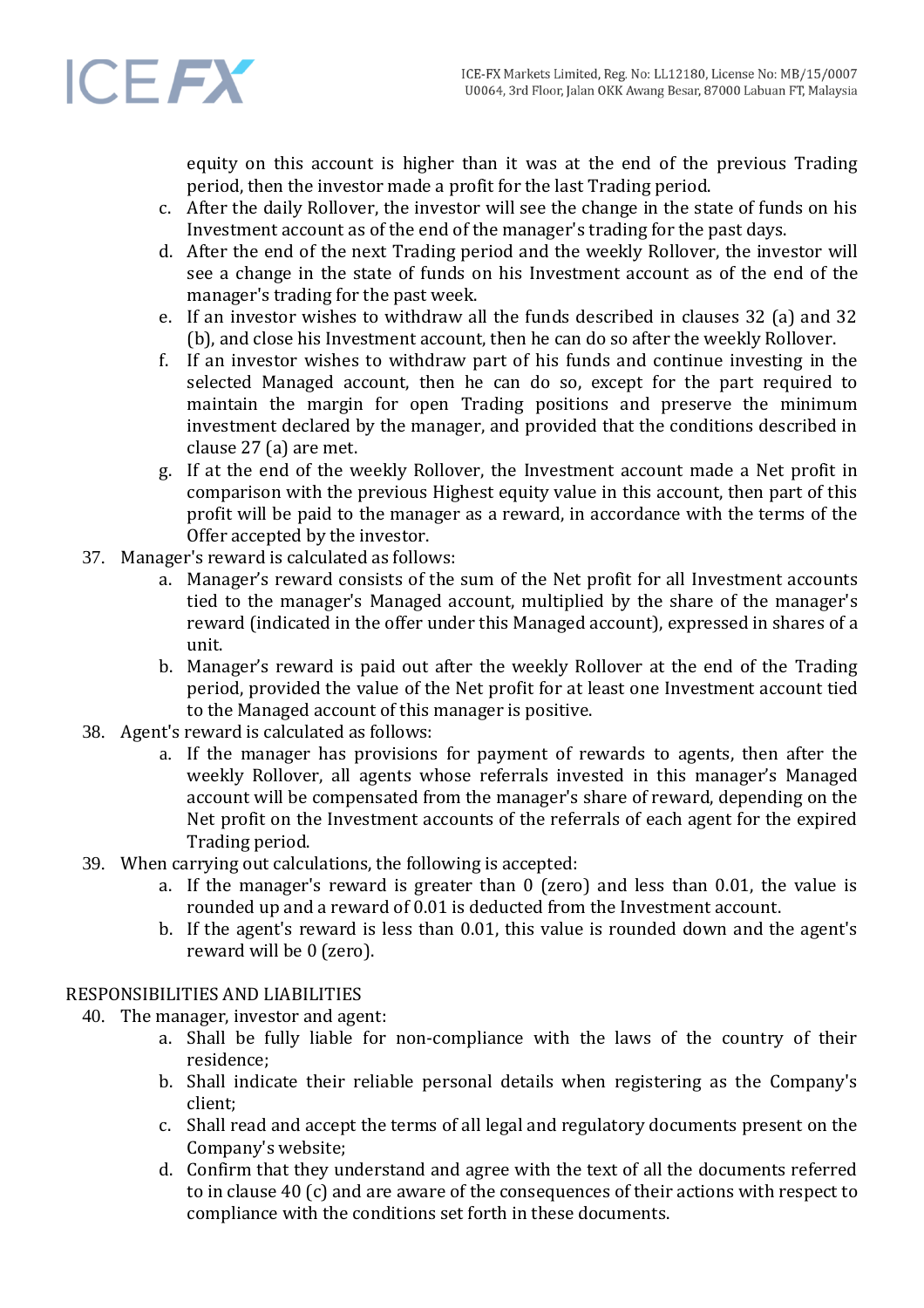

equity on this account is higher than it was at the end of the previous Trading period, then the investor made a profit for the last Trading period.

- c. After the daily Rollover, the investor will see the change in the state of funds on his Investment account as of the end of the manager's trading for the past days.
- d. After the end of the next Trading period and the weekly Rollover, the investor will see a change in the state of funds on his Investment account as of the end of the manager's trading for the past week.
- e. If an investor wishes to withdraw all the funds described in clauses 32 (a) and 32 (b), and close his Investment account, then he can do so after the weekly Rollover.
- f. If an investor wishes to withdraw part of his funds and continue investing in the selected Managed account, then he can do so, except for the part required to maintain the margin for open Trading positions and preserve the minimum investment declared by the manager, and provided that the conditions described in clause 27 (a) are met.
- g. If at the end of the weekly Rollover, the Investment account made a Net profit in comparison with the previous Highest equity value in this account, then part of this profit will be paid to the manager as a reward, in accordance with the terms of the Offer accepted by the investor.
- 37. Manager's reward is calculated as follows:
	- a. Manager's reward consists of the sum of the Net profit for all Investment accounts tied to the manager's Managed account, multiplied by the share of the manager's reward (indicated in the offer under this Managed account), expressed in shares of a unit.
	- b. Manager's reward is paid out after the weekly Rollover at the end of the Trading period, provided the value of the Net profit for at least one Investment account tied to the Managed account of this manager is positive.
- 38. Agent's reward is calculated as follows:
	- a. If the manager has provisions for payment of rewards to agents, then after the weekly Rollover, all agents whose referrals invested in this manager's Managed account will be compensated from the manager's share of reward, depending on the Net profit on the Investment accounts of the referrals of each agent for the expired Trading period.
- 39. When carrying out calculations, the following is accepted:
	- a. If the manager's reward is greater than 0 (zero) and less than 0.01, the value is rounded up and a reward of 0.01 is deducted from the Investment account.
	- b. If the agent's reward is less than 0.01, this value is rounded down and the agent's reward will be 0 (zero).

## RESPONSIBILITIES AND LIABILITIES

- 40. The manager, investor and agent:
	- a. Shall be fully liable for non-compliance with the laws of the country of their residence;
	- b. Shall indicate their reliable personal details when registering as the Company's client;
	- c. Shall read and accept the terms of all legal and regulatory documents present on the Company's website;
	- d. Confirm that they understand and agree with the text of all the documents referred to in clause 40 (c) and are aware of the consequences of their actions with respect to compliance with the conditions set forth in these documents.